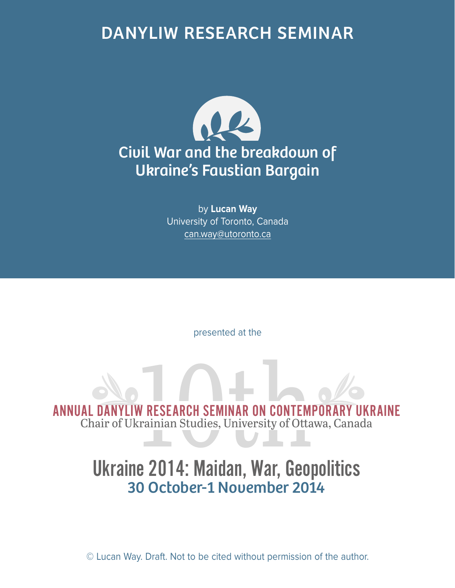## DANYLIW RESEARCH SEMINAR



by **Lucan Way** University of Toronto, Canada can.way@utoronto.ca

presented at the

ANNUAL DANYLIW RESEARCH SEMINAR ON CONTEMPORARY UKRAINE<br>Chair of Ukrainian Studies, University of Ottawa, Canada Chair of Ukrainian Studies, University of Ottawa, Canada

## Ukraine 2014: Maidan, War, Geopolitics 30 October-1 November 2014

© Lucan Way. Draft. Not to be cited without permission of the author.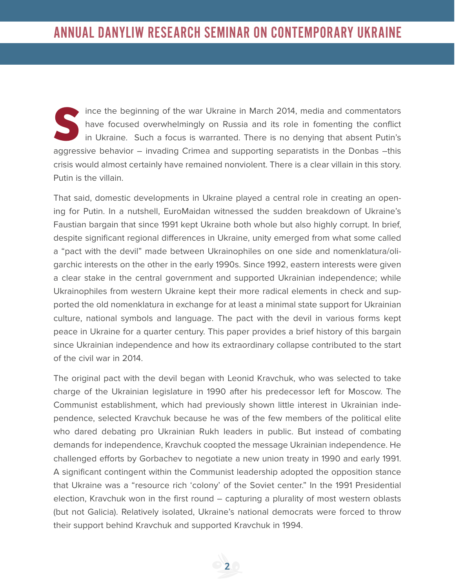Ince the beginning of the war Ukraine in March 2014, media and commentators<br>have focused overwhelmingly on Russia and its role in fomenting the conflict<br>in Ukraine. Such a focus is warranted. There is no denying that absen have focused overwhelmingly on Russia and its role in fomenting the conflict in Ukraine. Such a focus is warranted. There is no denying that absent Putin's aggressive behavior – invading Crimea and supporting separatists in the Donbas –this crisis would almost certainly have remained nonviolent. There is a clear villain in this story. Putin is the villain.

That said, domestic developments in Ukraine played a central role in creating an opening for Putin. In a nutshell, EuroMaidan witnessed the sudden breakdown of Ukraine's Faustian bargain that since 1991 kept Ukraine both whole but also highly corrupt. In brief, despite significant regional differences in Ukraine, unity emerged from what some called a "pact with the devil" made between Ukrainophiles on one side and nomenklatura/oligarchic interests on the other in the early 1990s. Since 1992, eastern interests were given a clear stake in the central government and supported Ukrainian independence; while Ukrainophiles from western Ukraine kept their more radical elements in check and supported the old nomenklatura in exchange for at least a minimal state support for Ukrainian culture, national symbols and language. The pact with the devil in various forms kept peace in Ukraine for a quarter century. This paper provides a brief history of this bargain since Ukrainian independence and how its extraordinary collapse contributed to the start of the civil war in 2014.

The original pact with the devil began with Leonid Kravchuk, who was selected to take charge of the Ukrainian legislature in 1990 after his predecessor left for Moscow. The Communist establishment, which had previously shown little interest in Ukrainian independence, selected Kravchuk because he was of the few members of the political elite who dared debating pro Ukrainian Rukh leaders in public. But instead of combating demands for independence, Kravchuk coopted the message Ukrainian independence. He challenged efforts by Gorbachev to negotiate a new union treaty in 1990 and early 1991. A significant contingent within the Communist leadership adopted the opposition stance that Ukraine was a "resource rich 'colony' of the Soviet center." In the 1991 Presidential election, Kravchuk won in the first round – capturing a plurality of most western oblasts (but not Galicia). Relatively isolated, Ukraine's national democrats were forced to throw their support behind Kravchuk and supported Kravchuk in 1994.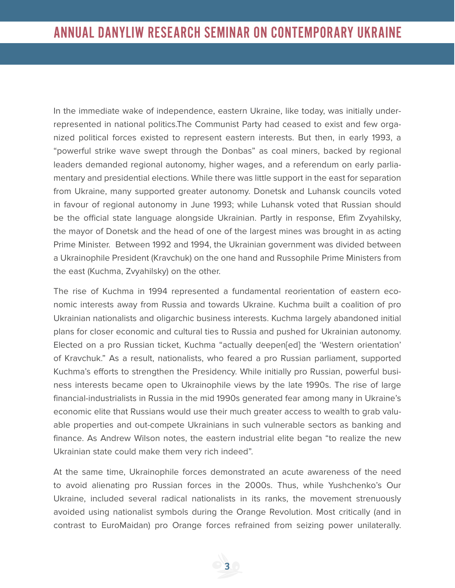In the immediate wake of independence, eastern Ukraine, like today, was initially underrepresented in national politics.The Communist Party had ceased to exist and few organized political forces existed to represent eastern interests. But then, in early 1993, a "powerful strike wave swept through the Donbas" as coal miners, backed by regional leaders demanded regional autonomy, higher wages, and a referendum on early parliamentary and presidential elections. While there was little support in the east for separation from Ukraine, many supported greater autonomy. Donetsk and Luhansk councils voted in favour of regional autonomy in June 1993; while Luhansk voted that Russian should be the official state language alongside Ukrainian. Partly in response, Efim Zvyahilsky, the mayor of Donetsk and the head of one of the largest mines was brought in as acting Prime Minister. Between 1992 and 1994, the Ukrainian government was divided between a Ukrainophile President (Kravchuk) on the one hand and Russophile Prime Ministers from the east (Kuchma, Zvyahilsky) on the other.

The rise of Kuchma in 1994 represented a fundamental reorientation of eastern economic interests away from Russia and towards Ukraine. Kuchma built a coalition of pro Ukrainian nationalists and oligarchic business interests. Kuchma largely abandoned initial plans for closer economic and cultural ties to Russia and pushed for Ukrainian autonomy. Elected on a pro Russian ticket, Kuchma "actually deepen[ed] the 'Western orientation' of Kravchuk." As a result, nationalists, who feared a pro Russian parliament, supported Kuchma's efforts to strengthen the Presidency. While initially pro Russian, powerful business interests became open to Ukrainophile views by the late 1990s. The rise of large financial-industrialists in Russia in the mid 1990s generated fear among many in Ukraine's economic elite that Russians would use their much greater access to wealth to grab valuable properties and out-compete Ukrainians in such vulnerable sectors as banking and finance. As Andrew Wilson notes, the eastern industrial elite began "to realize the new Ukrainian state could make them very rich indeed".

At the same time, Ukrainophile forces demonstrated an acute awareness of the need to avoid alienating pro Russian forces in the 2000s. Thus, while Yushchenko's Our Ukraine, included several radical nationalists in its ranks, the movement strenuously avoided using nationalist symbols during the Orange Revolution. Most critically (and in contrast to EuroMaidan) pro Orange forces refrained from seizing power unilaterally.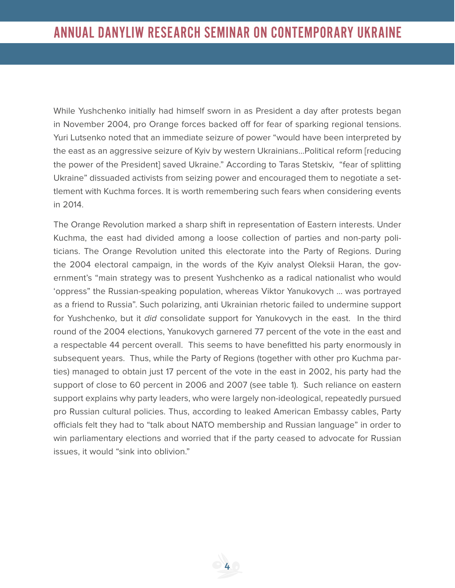While Yushchenko initially had himself sworn in as President a day after protests began in November 2004, pro Orange forces backed off for fear of sparking regional tensions. Yuri Lutsenko noted that an immediate seizure of power "would have been interpreted by the east as an aggressive seizure of Kyiv by western Ukrainians…Political reform [reducing the power of the President] saved Ukraine." According to Taras Stetskiv, "fear of splitting Ukraine" dissuaded activists from seizing power and encouraged them to negotiate a settlement with Kuchma forces. It is worth remembering such fears when considering events in 2014.

The Orange Revolution marked a sharp shift in representation of Eastern interests. Under Kuchma, the east had divided among a loose collection of parties and non-party politicians. The Orange Revolution united this electorate into the Party of Regions. During the 2004 electoral campaign, in the words of the Kyiv analyst Oleksii Haran, the government's "main strategy was to present Yushchenko as a radical nationalist who would 'oppress" the Russian-speaking population, whereas Viktor Yanukovych … was portrayed as a friend to Russia". Such polarizing, anti Ukrainian rhetoric failed to undermine support for Yushchenko, but it did consolidate support for Yanukovych in the east. In the third round of the 2004 elections, Yanukovych garnered 77 percent of the vote in the east and a respectable 44 percent overall. This seems to have benefitted his party enormously in subsequent years. Thus, while the Party of Regions (together with other pro Kuchma parties) managed to obtain just 17 percent of the vote in the east in 2002, his party had the support of close to 60 percent in 2006 and 2007 (see table 1). Such reliance on eastern support explains why party leaders, who were largely non-ideological, repeatedly pursued pro Russian cultural policies. Thus, according to leaked American Embassy cables, Party officials felt they had to "talk about NATO membership and Russian language" in order to win parliamentary elections and worried that if the party ceased to advocate for Russian issues, it would "sink into oblivion."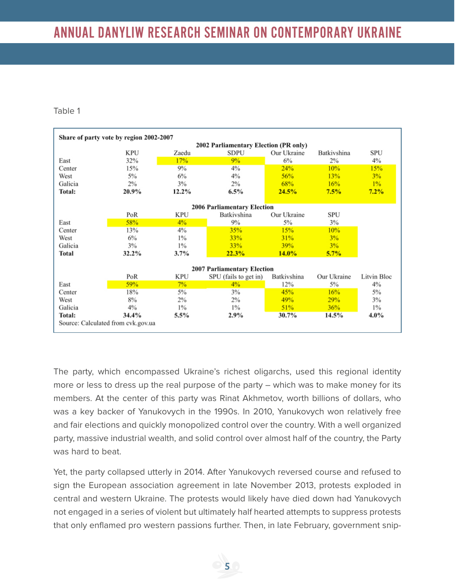## Table 1

| Share of party vote by region 2002-2007 |            |            |                       |             |             |             |
|-----------------------------------------|------------|------------|-----------------------|-------------|-------------|-------------|
| 2002 Parliamentary Election (PR only)   |            |            |                       |             |             |             |
|                                         | <b>KPU</b> | Zaedu      | <b>SDPU</b>           | Our Ukraine | Batkivshina | <b>SPU</b>  |
| East                                    | 32%        | 17%        | 9%                    | 6%          | 2%          | $4\%$       |
| Center                                  | 15%        | 9%         | 4%                    | 24%         | 10%         | 15%         |
| West                                    | $5\%$      | 6%         | $4\%$                 | 56%         | 13%         | 3%          |
| Galicia                                 | 2%         | 3%         | $2\%$                 | 68%         | 16%         | $1\%$       |
| Total:                                  | 20.9%      | 12.2%      | 6.5%                  | 24.5%       | 7.5%        | 7.2%        |
|                                         |            |            |                       |             |             |             |
| <b>2006 Parliamentary Election</b>      |            |            |                       |             |             |             |
|                                         | PoR        | <b>KPU</b> | Batkivshina           | Our Ukraine | <b>SPU</b>  |             |
| East                                    | 58%        | 4%         | 9%                    | $5\%$       | 3%          |             |
| Center                                  | 13%        | 4%         | 35%                   | 15%         | 10%         |             |
| West                                    | 6%         | $1\%$      | 33%                   | 31%         | 3%          |             |
| Galicia                                 | 3%         | $1\%$      | 33%                   | 39%         | 3%          |             |
| <b>Total</b>                            | 32.2%      | 3.7%       | 22.3%                 | $14.0\%$    | 5.7%        |             |
|                                         |            |            |                       |             |             |             |
| <b>2007 Parliamentary Election</b>      |            |            |                       |             |             |             |
|                                         | PoR        | <b>KPU</b> | SPU (fails to get in) | Batkivshina | Our Ukraine | Litvin Bloc |
| East                                    | 59%        | $7\%$      | 4%                    | 12%         | $5\%$       | $4\%$       |
| Center                                  | 18%        | 5%         | $3\%$                 | 45%         | 16%         | 5%          |
| West                                    | 8%         | 2%         | $2\%$                 | 49%         | 29%         | 3%          |
| Galicia                                 | 4%         | $1\%$      | $1\%$                 | 51%         | 36%         | $1\%$       |
| Total:                                  | 34.4%      | 5.5%       | 2.9%                  | 30.7%       | 14.5%       | $4.0\%$     |
| Source: Calculated from cvk.gov.ua      |            |            |                       |             |             |             |

The party, which encompassed Ukraine's richest oligarchs, used this regional identity more or less to dress up the real purpose of the party – which was to make money for its members. At the center of this party was Rinat Akhmetov, worth billions of dollars, who was a key backer of Yanukovych in the 1990s. In 2010, Yanukovych won relatively free and fair elections and quickly monopolized control over the country. With a well organized party, massive industrial wealth, and solid control over almost half of the country, the Party was hard to beat.

Yet, the party collapsed utterly in 2014. After Yanukovych reversed course and refused to sign the European association agreement in late November 2013, protests exploded in central and western Ukraine. The protests would likely have died down had Yanukovych not engaged in a series of violent but ultimately half hearted attempts to suppress protests that only enflamed pro western passions further. Then, in late February, government snip-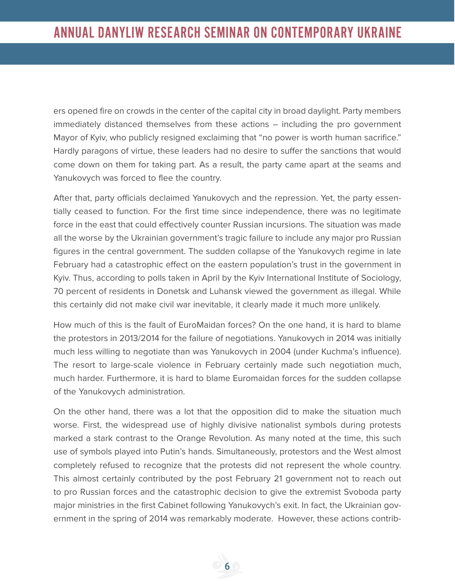ers opened fire on crowds in the center of the capital city in broad daylight. Party members immediately distanced themselves from these actions – including the pro government Mayor of Kyiv, who publicly resigned exclaiming that "no power is worth human sacrifice." Hardly paragons of virtue, these leaders had no desire to suffer the sanctions that would come down on them for taking part. As a result, the party came apart at the seams and Yanukovych was forced to flee the country.

After that, party officials declaimed Yanukovych and the repression. Yet, the party essentially ceased to function. For the first time since independence, there was no legitimate force in the east that could effectively counter Russian incursions. The situation was made all the worse by the Ukrainian government's tragic failure to include any major pro Russian figures in the central government. The sudden collapse of the Yanukovych regime in late February had a catastrophic effect on the eastern population's trust in the government in Kyiv. Thus, according to polls taken in April by the Kyiv International Institute of Sociology, 70 percent of residents in Donetsk and Luhansk viewed the government as illegal. While this certainly did not make civil war inevitable, it clearly made it much more unlikely.

How much of this is the fault of EuroMaidan forces? On the one hand, it is hard to blame the protestors in 2013/2014 for the failure of negotiations. Yanukovych in 2014 was initially much less willing to negotiate than was Yanukovych in 2004 (under Kuchma's influence). The resort to large-scale violence in February certainly made such negotiation much, much harder. Furthermore, it is hard to blame Euromaidan forces for the sudden collapse of the Yanukovych administration.

On the other hand, there was a lot that the opposition did to make the situation much worse. First, the widespread use of highly divisive nationalist symbols during protests marked a stark contrast to the Orange Revolution. As many noted at the time, this such use of symbols played into Putin's hands. Simultaneously, protestors and the West almost completely refused to recognize that the protests did not represent the whole country. This almost certainly contributed by the post February 21 government not to reach out to pro Russian forces and the catastrophic decision to give the extremist Svoboda party major ministries in the first Cabinet following Yanukovych's exit. In fact, the Ukrainian government in the spring of 2014 was remarkably moderate. However, these actions contrib